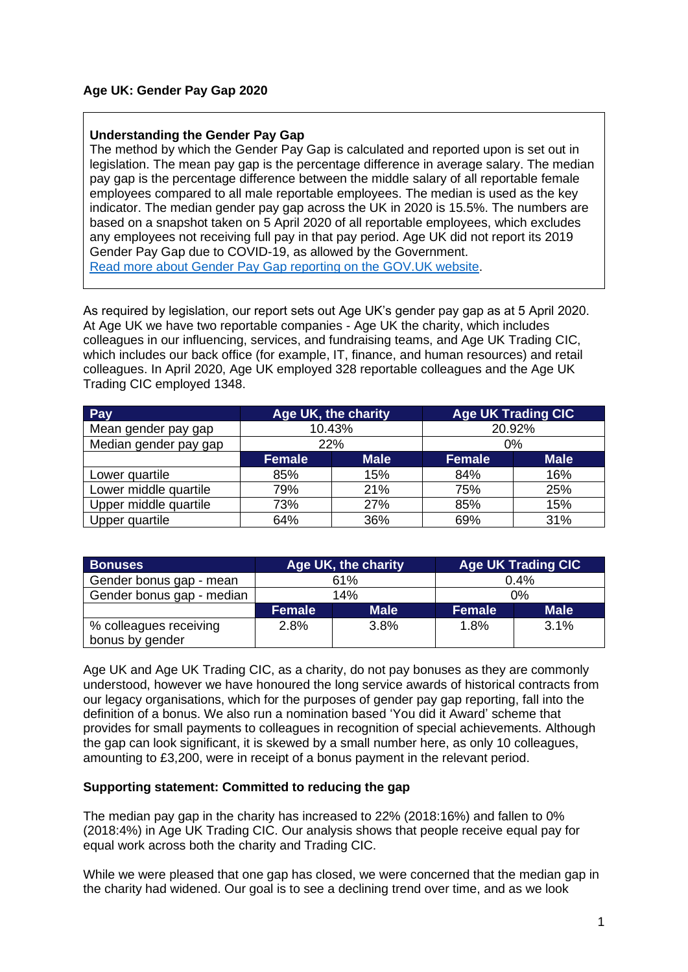## **Age UK: Gender Pay Gap 2020**

## **Understanding the Gender Pay Gap**

The method by which the Gender Pay Gap is calculated and reported upon is set out in legislation. The mean pay gap is the percentage difference in average salary. The median pay gap is the percentage difference between the middle salary of all reportable female employees compared to all male reportable employees. The median is used as the key indicator. The median gender pay gap across the UK in 2020 is 15.5%. The numbers are based on a snapshot taken on 5 April 2020 of all reportable employees, which excludes any employees not receiving full pay in that pay period. Age UK did not report its 2019 Gender Pay Gap due to COVID-19, as allowed by the Government. [Read more about Gender Pay Gap reporting on the GOV.UK website.](https://www.gov.uk/government/collections/gender-pay-gap-reporting)

As required by legislation, our report sets out Age UK's gender pay gap as at 5 April 2020. At Age UK we have two reportable companies - Age UK the charity, which includes colleagues in our influencing, services, and fundraising teams, and Age UK Trading CIC, which includes our back office (for example, IT, finance, and human resources) and retail colleagues. In April 2020, Age UK employed 328 reportable colleagues and the Age UK Trading CIC employed 1348.

| Pay                   | Age UK, the charity |             | <b>Age UK Trading CIC</b> |             |
|-----------------------|---------------------|-------------|---------------------------|-------------|
| Mean gender pay gap   | 10.43%              |             | 20.92%                    |             |
| Median gender pay gap | 22%                 |             | $0\%$                     |             |
|                       | <b>Female</b>       | <b>Male</b> | <b>Female</b>             | <b>Male</b> |
| Lower quartile        | 85%                 | 15%         | 84%                       | 16%         |
| Lower middle quartile | 79%                 | 21%         | 75%                       | 25%         |
| Upper middle quartile | 73%                 | 27%         | 85%                       | 15%         |
| Upper quartile        | 64%                 | 36%         | 69%                       | 31%         |

| <b>Bonuses</b>                            | Age UK, the charity |             | <b>Age UK Trading CIC</b> |             |
|-------------------------------------------|---------------------|-------------|---------------------------|-------------|
| Gender bonus gap - mean                   | 61%                 |             | 0.4%                      |             |
| Gender bonus gap - median                 | 14%                 |             | 0%                        |             |
|                                           | <b>Female</b>       | <b>Male</b> | <b>Female</b>             | <b>Male</b> |
| % colleagues receiving<br>bonus by gender | 2.8%                | 3.8%        | 1.8%                      | 3.1%        |

Age UK and Age UK Trading CIC, as a charity, do not pay bonuses as they are commonly understood, however we have honoured the long service awards of historical contracts from our legacy organisations, which for the purposes of gender pay gap reporting, fall into the definition of a bonus. We also run a nomination based 'You did it Award' scheme that provides for small payments to colleagues in recognition of special achievements. Although the gap can look significant, it is skewed by a small number here, as only 10 colleagues, amounting to £3,200, were in receipt of a bonus payment in the relevant period.

## **Supporting statement: Committed to reducing the gap**

The median pay gap in the charity has increased to 22% (2018:16%) and fallen to 0% (2018:4%) in Age UK Trading CIC. Our analysis shows that people receive equal pay for equal work across both the charity and Trading CIC.

While we were pleased that one gap has closed, we were concerned that the median gap in the charity had widened. Our goal is to see a declining trend over time, and as we look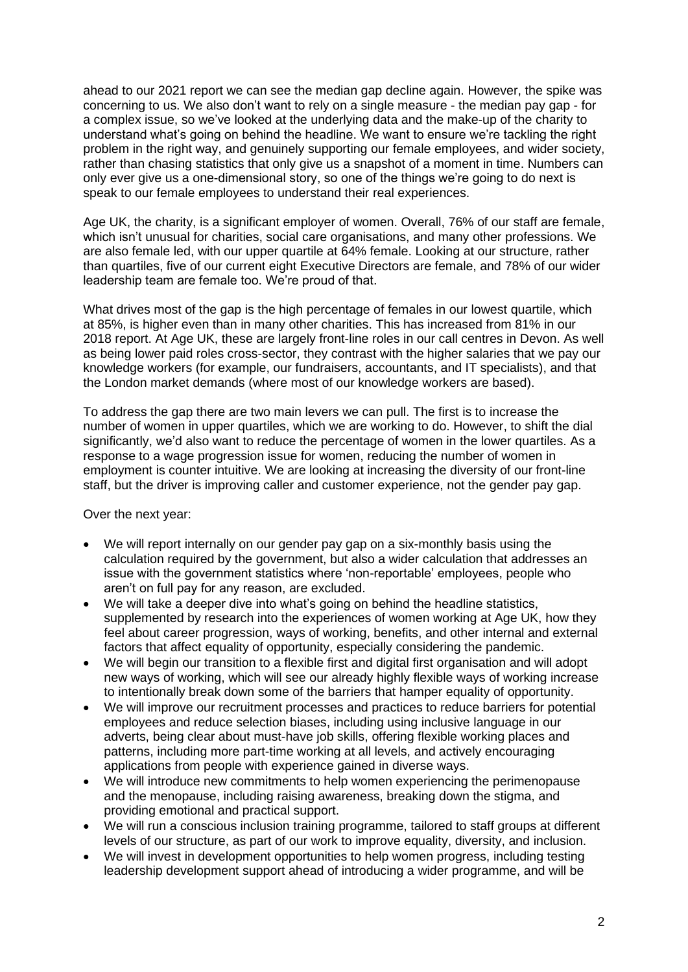ahead to our 2021 report we can see the median gap decline again. However, the spike was concerning to us. We also don't want to rely on a single measure - the median pay gap - for a complex issue, so we've looked at the underlying data and the make-up of the charity to understand what's going on behind the headline. We want to ensure we're tackling the right problem in the right way, and genuinely supporting our female employees, and wider society, rather than chasing statistics that only give us a snapshot of a moment in time. Numbers can only ever give us a one-dimensional story, so one of the things we're going to do next is speak to our female employees to understand their real experiences.

Age UK, the charity, is a significant employer of women. Overall, 76% of our staff are female, which isn't unusual for charities, social care organisations, and many other professions. We are also female led, with our upper quartile at 64% female. Looking at our structure, rather than quartiles, five of our current eight Executive Directors are female, and 78% of our wider leadership team are female too. We're proud of that.

What drives most of the gap is the high percentage of females in our lowest quartile, which at 85%, is higher even than in many other charities. This has increased from 81% in our 2018 report. At Age UK, these are largely front-line roles in our call centres in Devon. As well as being lower paid roles cross-sector, they contrast with the higher salaries that we pay our knowledge workers (for example, our fundraisers, accountants, and IT specialists), and that the London market demands (where most of our knowledge workers are based).

To address the gap there are two main levers we can pull. The first is to increase the number of women in upper quartiles, which we are working to do. However, to shift the dial significantly, we'd also want to reduce the percentage of women in the lower quartiles. As a response to a wage progression issue for women, reducing the number of women in employment is counter intuitive. We are looking at increasing the diversity of our front-line staff, but the driver is improving caller and customer experience, not the gender pay gap.

Over the next year:

- We will report internally on our gender pay gap on a six-monthly basis using the calculation required by the government, but also a wider calculation that addresses an issue with the government statistics where 'non-reportable' employees, people who aren't on full pay for any reason, are excluded.
- We will take a deeper dive into what's going on behind the headline statistics, supplemented by research into the experiences of women working at Age UK, how they feel about career progression, ways of working, benefits, and other internal and external factors that affect equality of opportunity, especially considering the pandemic.
- We will begin our transition to a flexible first and digital first organisation and will adopt new ways of working, which will see our already highly flexible ways of working increase to intentionally break down some of the barriers that hamper equality of opportunity.
- We will improve our recruitment processes and practices to reduce barriers for potential employees and reduce selection biases, including using inclusive language in our adverts, being clear about must-have job skills, offering flexible working places and patterns, including more part-time working at all levels, and actively encouraging applications from people with experience gained in diverse ways.
- We will introduce new commitments to help women experiencing the perimenopause and the menopause, including raising awareness, breaking down the stigma, and providing emotional and practical support.
- We will run a conscious inclusion training programme, tailored to staff groups at different levels of our structure, as part of our work to improve equality, diversity, and inclusion.
- We will invest in development opportunities to help women progress, including testing leadership development support ahead of introducing a wider programme, and will be